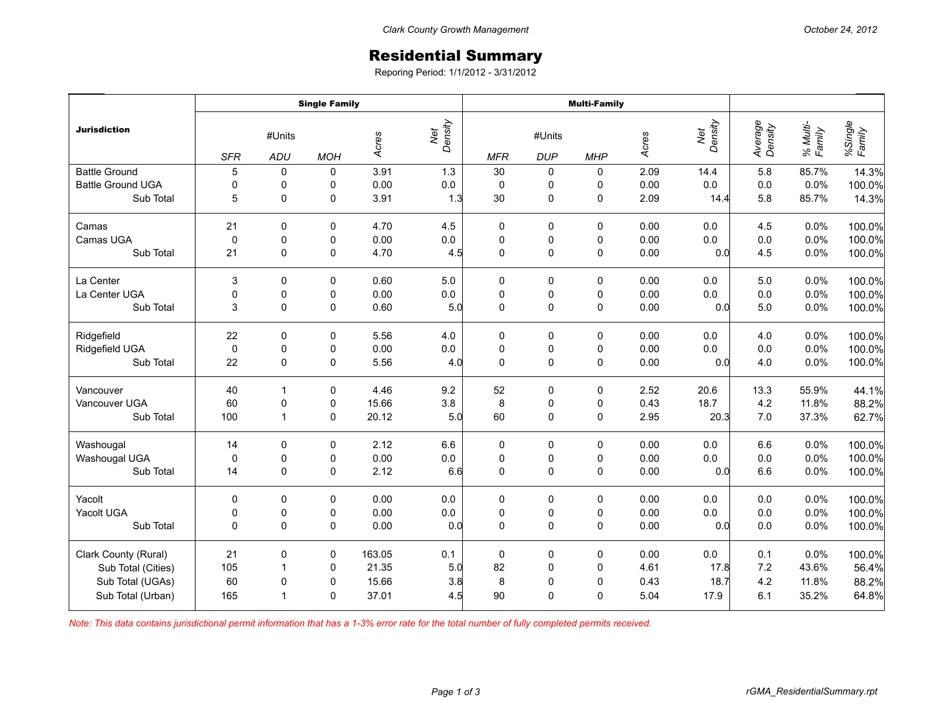## Residential Summary

Reporing Period: 1/1/2012 - 3/31/2012

|                          | <b>Single Family</b>        |                |            |        |                | <b>Multi-Family</b>                              |                     |             |       |                |                    |                    |                   |
|--------------------------|-----------------------------|----------------|------------|--------|----------------|--------------------------------------------------|---------------------|-------------|-------|----------------|--------------------|--------------------|-------------------|
| <b>Jurisdiction</b>      | #Units<br><b>SFR</b><br>ADU |                | <b>MOH</b> | Acres  | Net<br>Density | #Units<br><b>MFR</b><br><b>DUP</b><br><b>MHP</b> |                     |             | Acres | Net<br>Density | Average<br>Density | % Multi-<br>Family | %Single<br>Family |
| <b>Battle Ground</b>     | 5                           | 0              | 0          | 3.91   | 1.3            | 30                                               | 0                   | 0           | 2.09  | 14.4           | 5.8                | 85.7%              | 14.3%             |
| <b>Battle Ground UGA</b> | 0                           | 0              | 0          | 0.00   | $0.0\,$        | $\pmb{0}$                                        | 0                   | 0           | 0.00  | $0.0\,$        | $0.0\,$            | 0.0%               | 100.0%            |
| Sub Total                | 5                           | 0              | 0          | 3.91   | 1.3            | 30                                               | $\mathsf 0$         | $\pmb{0}$   | 2.09  | 14.4           | 5.8                | 85.7%              | 14.3%             |
| Camas                    | 21                          | $\Omega$       | 0          | 4.70   | 4.5            | 0                                                | 0                   | 0           | 0.00  | 0.0            | 4.5                | 0.0%               | 100.0%            |
| Camas UGA                | 0                           | 0              | 0          | 0.00   | 0.0            | $\pmb{0}$                                        | 0                   | 0           | 0.00  | 0.0            | $0.0\,$            | 0.0%               | 100.0%            |
| Sub Total                | 21                          | $\Omega$       | 0          | 4.70   | 4.5            | $\mathbf 0$                                      | $\pmb{0}$           | $\mathbf 0$ | 0.00  | 0.0            | 4.5                | 0.0%               | 100.0%            |
| La Center                | 3                           | 0              | 0          | 0.60   | 5.0            | 0                                                | 0                   | 0           | 0.00  | 0.0            | 5.0                | 0.0%               | 100.0%            |
| La Center UGA            | $\pmb{0}$                   | $\pmb{0}$      | 0          | 0.00   | $0.0\,$        | $\pmb{0}$                                        | $\pmb{0}$           | $\pmb{0}$   | 0.00  | 0.0            | 0.0                | 0.0%               | 100.0%            |
| Sub Total                | 3                           | $\mathbf 0$    | $\pmb{0}$  | 0.60   | 5.0            | $\mathbf 0$                                      | $\pmb{0}$           | $\pmb{0}$   | 0.00  | 0.0            | 5.0                | 0.0%               | 100.0%            |
| Ridgefield               | 22                          | 0              | 0          | 5.56   | 4.0            | 0                                                | 0                   | 0           | 0.00  | 0.0            | 4.0                | 0.0%               | 100.0%            |
| Ridgefield UGA           | $\mathbf 0$                 | 0              | 0          | 0.00   | $0.0\,$        | $\pmb{0}$                                        | 0                   | 0           | 0.00  | 0.0            | $0.0\,$            | 0.0%               | 100.0%            |
| Sub Total                | 22                          | 0              | 0          | 5.56   | 4.0            | $\mathbf 0$                                      | $\mathsf{O}\xspace$ | $\pmb{0}$   | 0.00  | 0.0            | 4.0                | 0.0%               | 100.0%            |
| Vancouver                | 40                          | $\mathbf{1}$   | 0          | 4.46   | 9.2            | 52                                               | 0                   | 0           | 2.52  | 20.6           | 13.3               | 55.9%              | 44.1%             |
| Vancouver UGA            | 60                          | 0              | 0          | 15.66  | 3.8            | 8                                                | 0                   | 0           | 0.43  | 18.7           | 4.2                | 11.8%              | 88.2%             |
| Sub Total                | 100                         | $\mathbf{1}$   | 0          | 20.12  | 5.0            | 60                                               | $\pmb{0}$           | $\mathbf 0$ | 2.95  | 20.3           | 7.0                | 37.3%              | 62.7%             |
| Washougal                | 14                          | $\Omega$       | 0          | 2.12   | 6.6            | 0                                                | 0                   | 0           | 0.00  | 0.0            | 6.6                | 0.0%               | 100.0%            |
| Washougal UGA            | 0                           | 0              | 0          | 0.00   | $0.0\,$        | $\pmb{0}$                                        | $\pmb{0}$           | $\pmb{0}$   | 0.00  | $0.0\,$        | $0.0\,$            | 0.0%               | 100.0%            |
| Sub Total                | 14                          | 0              | 0          | 2.12   | 6.6            | $\mathbf 0$                                      | $\mathsf 0$         | $\pmb{0}$   | 0.00  | 0.0            | 6.6                | 0.0%               | 100.0%            |
| Yacolt                   | $\Omega$                    | 0              | 0          | 0.00   | 0.0            | 0                                                | 0                   | 0           | 0.00  | 0.0            | 0.0                | 0.0%               | 100.0%            |
| Yacolt UGA               | 0                           | 0              | 0          | 0.00   | $0.0\,$        | $\pmb{0}$                                        | $\pmb{0}$           | 0           | 0.00  | 0.0            | $0.0\,$            | 0.0%               | 100.0%            |
| Sub Total                | $\Omega$                    | $\Omega$       | 0          | 0.00   | 0.0            | $\Omega$                                         | $\mathbf 0$         | $\mathbf 0$ | 0.00  | 0.0            | 0.0                | 0.0%               | 100.0%            |
| Clark County (Rural)     | 21                          | 0              | 0          | 163.05 | 0.1            | $\pmb{0}$                                        | $\pmb{0}$           | $\pmb{0}$   | 0.00  | 0.0            | 0.1                | 0.0%               | 100.0%            |
| Sub Total (Cities)       | 105                         | $\overline{1}$ | 0          | 21.35  | 5.0            | 82                                               | $\pmb{0}$           | $\pmb{0}$   | 4.61  | 17.8           | $7.2\,$            | 43.6%              | 56.4%             |
| Sub Total (UGAs)         | 60                          | 0              | 0          | 15.66  | 3.8            | 8                                                | $\pmb{0}$           | $\mathbf 0$ | 0.43  | 18.7           | 4.2                | 11.8%              | 88.2%             |
| Sub Total (Urban)        | 165                         | $\mathbf{1}$   | 0          | 37.01  | 4.5            | 90                                               | $\mathbf 0$         | 0           | 5.04  | 17.9           | 6.1                | 35.2%              | 64.8%             |

*Note: This data contains jurisdictional permit information that has a 1-3% error rate for the total number of fully completed permits received.*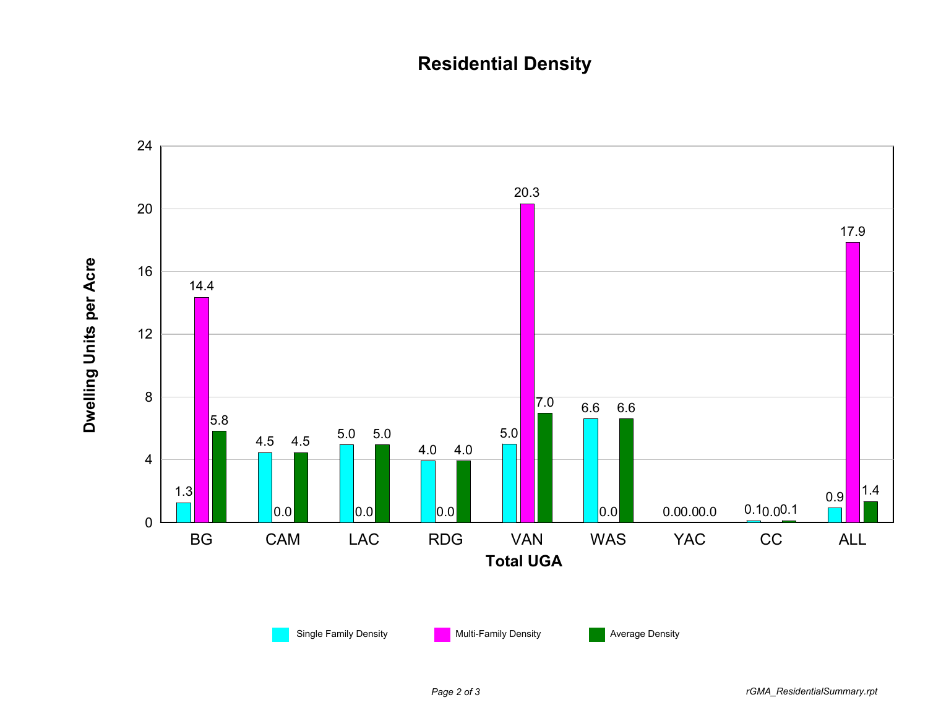## **Residential Density**